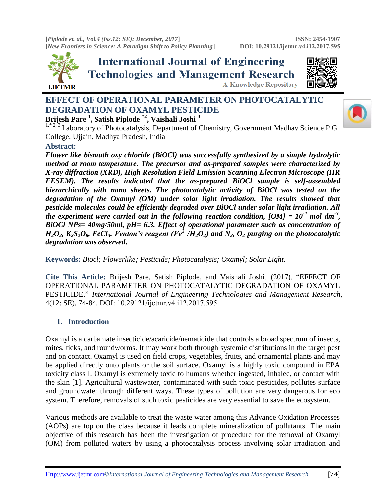**[***Piplode et. al., Vol.4 (Iss.12: SE): December, 2017***] [***New Frontiers in Science: A Paradigm Shift to Policy Planning***]**



**International Journal of Engineering Technologies and Management Research A Knowledge Repository** 



# **EFFECT OF OPERATIONAL PARAMETER ON PHOTOCATALYTIC DEGRADATION OF OXAMYL PESTICIDE**

## **Brijesh Pare <sup>1</sup> , Satish Piplode \*2 , Vaishali Joshi <sup>3</sup>**

 $1, *2, 3$  Laboratory of Photocatalysis, Department of Chemistry, Government Madhav Science P G College, Ujjain, Madhya Pradesh, India

#### **Abstract:**

*Flower like bismuth oxy chloride (BiOCl) was successfully synthesized by a simple hydrolytic method at room temperature. The precursor and as-prepared samples were characterized by X-ray diffraction (XRD), High Resolution Field Emission Scanning Electron Microscope (HR FESEM). The results indicated that the as-prepared BiOCl sample is self-assembled hierarchically with nano sheets. The photocatalytic activity of BiOCl was tested on the degradation of the Oxamyl (OM) under solar light irradiation. The results showed that pesticide molecules could be efficiently degraded over BiOCl under solar light irradiation. All the experiment were carried out in the following reaction condition, [OM] = 10-4 mol dm-3 , BiOCl NPs= 40mg/50ml, pH= 6.3. Effect of operational parameter such as concentration of*  $H_2O_2$ ,  $K_2S_2O_8$ , FeCl<sub>3</sub>, Fenton's reagent (Fe<sup>3+</sup>/H<sub>2</sub>O<sub>2</sub>) and N<sub>2</sub>, O<sub>2</sub> purging on the photocatalytic *degradation was observed***.**

**Keywords:** *Biocl; Flowerlike; Pesticide; Photocatalysis; Oxamyl; Solar Light.* 

**Cite This Article:** Brijesh Pare, Satish Piplode, and Vaishali Joshi. (2017). "EFFECT OF OPERATIONAL PARAMETER ON PHOTOCATALYTIC DEGRADATION OF OXAMYL PESTICIDE." *International Journal of Engineering Technologies and Management Research,*  4(12: SE), 74-84. DOI: 10.29121/ijetmr.v4.i12.2017.595.

### **1. Introduction**

Oxamyl is a carbamate insecticide/acaricide/nematicide that controls a broad spectrum of insects, mites, ticks, and roundworms. It may work both through systemic distributions in the target pest and on contact. Oxamyl is used on field crops, vegetables, fruits, and ornamental plants and may be applied directly onto plants or the soil surface. Oxamyl is a highly toxic compound in EPA toxicity class I. Oxamyl is extremely toxic to humans whether ingested, inhaled, or contact with the skin [1]. Agricultural wastewater, contaminated with such toxic pesticides, pollutes surface and groundwater through different ways. These types of pollution are very dangerous for eco system. Therefore, removals of such toxic pesticides are very essential to save the ecosystem.

Various methods are available to treat the waste water among this Advance Oxidation Processes (AOPs) are top on the class because it leads complete mineralization of pollutants. The main objective of this research has been the investigation of procedure for the removal of Oxamyl (OM) from polluted waters by using a photocatalysis process involving solar irradiation and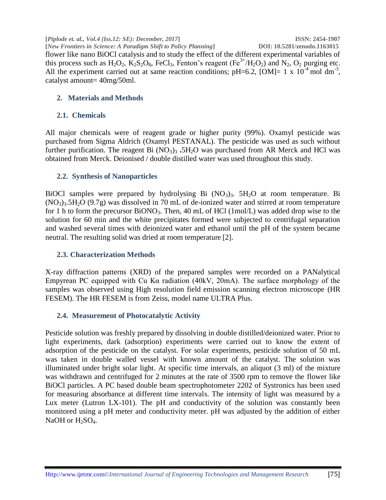**[***Piplode et. al., Vol.4 (Iss.12: SE): December, 2017***] ISSN: 2454-1907 [***New Frontiers in Science: A Paradigm Shift to Policy Planning***] DOI: 10.5281/zenodo.1163015** flower like nano BiOCl catalysis and to study the effect of the different experimental variables of this process such as  $H_2O_2$ ,  $K_2S_2O_8$ , FeCl<sub>3</sub>, Fenton's reagent (Fe<sup>3+</sup>/H<sub>2</sub>O<sub>2</sub>) and N<sub>2</sub>, O<sub>2</sub> purging etc. All the experiment carried out at same reaction conditions;  $pH=6.2$ ,  $[OM]= 1 \times 10^{-4}$  mol dm<sup>-3</sup>, catalyst amount= 40mg/50ml.

### **2. Materials and Methods**

#### **2.1. Chemicals**

All major chemicals were of reagent grade or higher purity (99%). Oxamyl pesticide was purchased from Sigma Aldrich (Oxamyl PESTANAL). The pesticide was used as such without further purification. The reagent Bi  $(NO_3)$ <sub>3</sub> **.5H<sub>2</sub>O** was purchased from AR Merck and HCl was obtained from Merck. Deionised / double distilled water was used throughout this study.

#### **2.2. Synthesis of Nanoparticles**

BiOCl samples were prepared by hydrolysing Bi  $(NO<sub>3</sub>)<sub>3</sub>$ . 5H<sub>2</sub>O at room temperature. Bi  $(NO<sub>3</sub>)<sub>3</sub>5H<sub>2</sub>O (9.7g)$  was dissolved in 70 mL of de-ionized water and stirred at room temperature for 1 h to form the precursor  $BiONO<sub>3</sub>$ . Then, 40 mL of HCl (1mol/L) was added drop wise to the solution for 60 min and the white precipitates formed were subjected to centrifugal separation and washed several times with deionized water and ethanol until the pH of the system became neutral. The resulting solid was dried at room temperature [2].

#### **2.3. Characterization Methods**

X-ray diffraction patterns (XRD) of the prepared samples were recorded on a PANalytical Empyrean PC equipped with Cu Kα radiation (40kV, 20mA). The surface morphology of the samples was observed using High resolution field emission scanning electron microscope (HR FESEM). The HR FESEM is from Zeiss, model name ULTRA Plus.

### **2.4. Measurement of Photocatalytic Activity**

Pesticide solution was freshly prepared by dissolving in double distilled/deionized water. Prior to light experiments, dark (adsorption) experiments were carried out to know the extent of adsorption of the pesticide on the catalyst. For solar experiments, pesticide solution of 50 mL was taken in double walled vessel with known amount of the catalyst. The solution was illuminated under bright solar light. At specific time intervals, an aliquot (3 ml) of the mixture was withdrawn and centrifuged for 2 minutes at the rate of 3500 rpm to remove the flower like BiOCl particles. A PC based double beam spectrophotometer 2202 of Systronics has been used for measuring absorbance at different time intervals. The intensity of light was measured by a Lux meter (Lutron LX-101). The pH and conductivity of the solution was constantly been monitored using a pH meter and conductivity meter. pH was adjusted by the addition of either NaOH or  $H_2SO_4$ .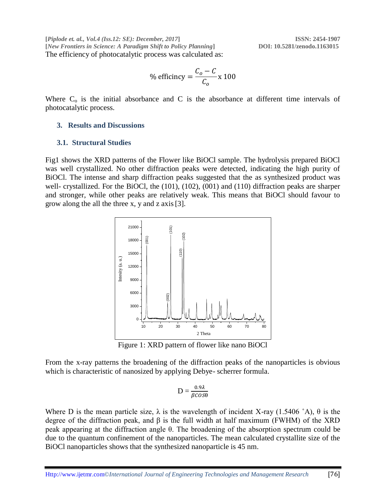**[***Piplode et. al., Vol.4 (Iss.12: SE): December, 2017***] ISSN: 2454-1907 [***New Frontiers in Science: A Paradigm Shift to Policy Planning***] DOI: 10.5281/zenodo.1163015** The efficiency of photocatalytic process was calculated as:

% efficiency 
$$
=\frac{C_o - C}{C_o} \times 100
$$

Where  $C_0$  is the initial absorbance and C is the absorbance at different time intervals of photocatalytic process.

#### **3. Results and Discussions**

#### **3.1. Structural Studies**

Fig1 shows the XRD patterns of the Flower like BiOCl sample. The hydrolysis prepared BiOCl was well crystallized. No other diffraction peaks were detected, indicating the high purity of BiOCl. The intense and sharp diffraction peaks suggested that the as synthesized product was well- crystallized. For the BiOCl, the (101), (102), (001) and (110) diffraction peaks are sharper and stronger, while other peaks are relatively weak. This means that BiOCl should favour to grow along the all the three x, y and z axis[3].



Figure 1: XRD pattern of flower like nano BiOCl

From the x-ray patterns the broadening of the diffraction peaks of the nanoparticles is obvious which is characteristic of nanosized by applying Debye- scherrer formula.

$$
D = \frac{0.9\lambda}{\beta cos\theta}
$$

Where D is the mean particle size,  $\lambda$  is the wavelength of incident X-ray (1.5406 °A),  $\theta$  is the degree of the diffraction peak, and β is the full width at half maximum (FWHM) of the XRD peak appearing at the diffraction angle θ. The broadening of the absorption spectrum could be due to the quantum confinement of the nanoparticles. The mean calculated crystallite size of the BiOCl nanoparticles shows that the synthesized nanoparticle is 45 nm.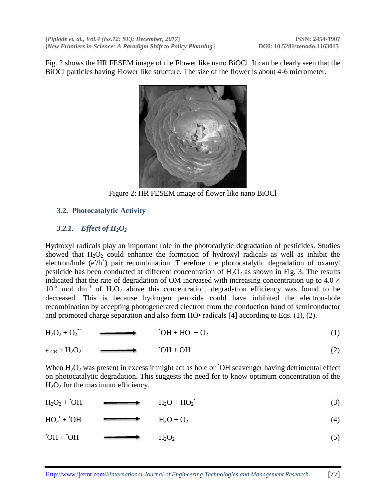Fig. 2 shows the HR FESEM image of the Flower like nano BiOCl. It can be clearly seen that the BiOCl particles having Flower like structure. The size of the flower is about 4-6 micrometer.



Figure 2: HR FESEM image of flower like nano BiOCl

## **3.2. Photocatalytic Activity**

## *3.2.1. Effect of H2O<sup>2</sup>*

Hydroxyl radicals play an important role in the photocatlytic degradation of pesticides. Studies showed that  $H_2O_2$  could enhance the formation of hydroxyl radicals as well as inhibit the electron/hole (e<sup>-</sup>/h<sup>+</sup>) pair recombination. Therefore the photocatalytic degradation of oxamyl pesticide has been conducted at different concentration of  $H_2O_2$  as shown in Fig. 3. The results indicated that the rate of degradation of OM increased with increasing concentration up to  $4.0 \times$  $10^{-6}$  mol dm<sup>-3</sup> of H<sub>2</sub>O<sub>2</sub> above this concentration, degradation efficiency was found to be decreased. This is because hydrogen peroxide could have inhibited the electron-hole recombination by accepting photogenerated electron from the conduction band of semiconductor and promoted charge separation and also form HO• radicals [4] according to Eqs. (1), (2).

$$
H_2O_2 + O_2 \qquad \longrightarrow \qquad \text{`OH} + HO^+ + O_2 \tag{1}
$$

$$
e_{CB} + H_2O_2 \qquad \longrightarrow \qquad \text{`OH} + OH \tag{2}
$$

When  $H_2O_2$  was present in excess it might act as hole or  $\overline{O}$ H scavenger having detrimental effect on photocatalytic degradation. This suggests the need for to know optimum concentration of the  $H<sub>2</sub>O<sub>2</sub>$  for the maximum efficiency.

$$
H_2O_2 + {}^{.}OH \longrightarrow H_2O + HO_2. \tag{3}
$$

$$
HO_2^{\bullet} + {}^{\bullet}OH \qquad \longrightarrow \qquad H_2O + O_2 \tag{4}
$$

$$
OH + OH \qquad \longrightarrow \qquad H_2O_2 \tag{5}
$$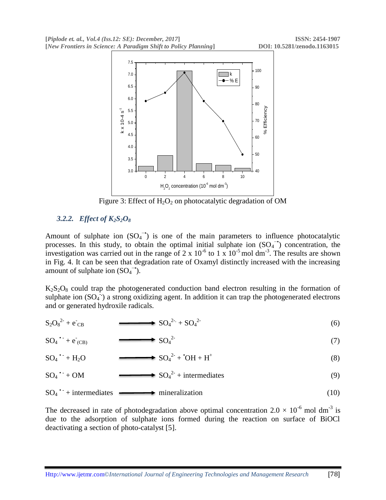

Figure 3: Effect of  $H_2O_2$  on photocatalytic degradation of OM

## *3.2.2. Effect of K2S2O<sup>8</sup>*

Amount of sulphate ion  $(SO_4^{\rightarrow})$  is one of the main parameters to influence photocatalytic processes. In this study, to obtain the optimal initial sulphate ion  $(SO<sub>4</sub><sup>-</sup>)$  concentration, the investigation was carried out in the range of 2 x  $10^{-6}$  to 1 x  $10^{-5}$  mol dm<sup>-3</sup>. The results are shown in Fig. 4. It can be seen that degradation rate of Oxamyl distinctly increased with the increasing amount of sulphate ion  $(SO<sub>4</sub><sup>-</sup>)$ .

 $K_2S_2O_8$  could trap the photogenerated conduction band electron resulting in the formation of sulphate ion (SO<sub>4</sub><sup>-</sup>) a strong oxidizing agent. In addition it can trap the photogenerated electrons and or generated hydroxile radicals.

$$
S_2O_8^{2-} + e_{CB} \longrightarrow SO_4^{2-} + SO_4^{2-} \tag{6}
$$

$$
SO_4 \xrightarrow{\bullet} e_{(CB)} \longrightarrow SO_4^{2} \tag{7}
$$

SO<sup>4</sup> • - + H2O SO<sup>4</sup> 2- + •OH + H<sup>+</sup> (8)

 $\mathrm{SO}_4$   $\cdot$  $+ OM$   $SO_4^2$  + intermediates (9)

$$
SO_4
$$
<sup>•</sup> + intermediates  $\longrightarrow$  mineralization (10)

The decreased in rate of photodegradation above optimal concentration  $2.0 \times 10^{-6}$  mol dm<sup>-3</sup> is due to the adsorption of sulphate ions formed during the reaction on surface of BiOCl deactivating a section of photo-catalyst [5].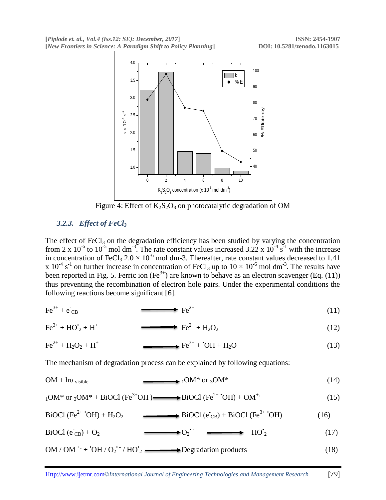

Figure 4: Effect of  $K_2S_2O_8$  on photocatalytic degradation of OM

## *3.2.3. Effect of FeCl<sup>3</sup>*

The effect of  $FeCl<sub>3</sub>$  on the degradation efficiency has been studied by varying the concentration from 2 x  $10^{-6}$  to  $10^{-5}$  mol dm<sup>-3</sup>. The rate constant values increased 3.22 x  $10^{-4}$  s<sup>-1</sup> with the increase in concentration of FeCl<sub>3</sub>  $2.0 \times 10^{-6}$  mol dm-3. Thereafter, rate constant values decreased to 1.41 x 10<sup>-4</sup> s<sup>-1</sup> on further increase in concentration of FeCl<sub>3</sub> up to  $10 \times 10^{-6}$  mol dm<sup>-3</sup>. The results have been reported in Fig. 5. Ferric ion  $(Fe^{3+})$  are known to behave as an electron scavenger (Eq. (11)) thus preventing the recombination of electron hole pairs. Under the experimental conditions the following reactions become significant [6].

$$
\text{Fe}^{3+} + \text{e}_{\text{CB}} \qquad \qquad \text{Fe}^{2+} \qquad \qquad (11)
$$

$$
\text{Fe}^{3+} + \text{HO}^{\dagger}_2 + \text{H}^{\dagger} \qquad \qquad \longrightarrow \qquad \text{Fe}^{2+} + \text{H}_2\text{O}_2 \tag{12}
$$

$$
\text{Fe}^{2+} + \text{H}_2\text{O}_2 + \text{H}^+ \longrightarrow \text{Fe}^{3+} + {}^{\bullet}\text{OH} + \text{H}_2\text{O} \tag{13}
$$

The mechanism of degradation process can be explained by following equations:

$$
OM + hvvisible \longrightarrow {}_{1}OM^{*} \text{ or } {}_{3}OM^{*} \tag{14}
$$

$$
{}_{1}OM^{*} \text{ or } {}_{3}OM^{*} + \text{BiOCl (Fe}^{3+}OH) \longrightarrow \text{BiOCl (Fe}^{2+} \text{'}OH) + OM^{+} \tag{15}
$$

BiOCl (Fe<sup>2+</sup> 'OH) + H<sub>2</sub>O<sub>2</sub> 
$$
\longrightarrow
$$
 BiOCl (e<sub>CB</sub>) + BiOCl (Fe<sup>3+</sup> 'OH) (16)

$$
\text{BiOCl} \left( e_{\text{CB}} \right) + O_2 \qquad \longrightarrow O_2 \qquad \longrightarrow \text{HO'}_2 \tag{17}
$$

$$
OM / OM
$$
<sup>+</sup> +  $'OH / O_2$ <sup>•</sup> /  $HO$ <sup>•</sup> =  $Degradation$  products (18)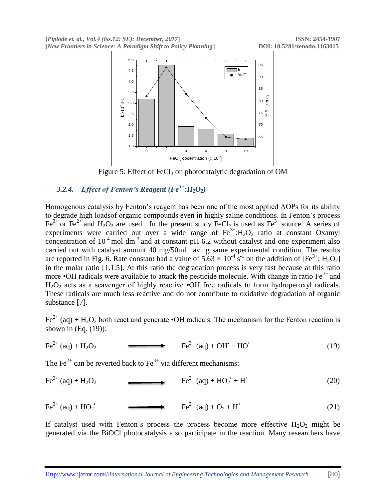**[***Piplode et. al., Vol.4 (Iss.12: SE): December, 2017***] ISSN: 2454-1907 [***New Frontiers in Science: A Paradigm Shift to Policy Planning***] DOI: 10.5281/zenodo.1163015**



Figure 5: Effect of FeCl<sub>3</sub> on photocatalytic degradation of OM

## 3.2.4. *Effect of Fenton's Reagent* ( $Fe^{3+}$ *:H*<sub>2</sub> $O_2$ )

Homogenous catalysis by Fenton's reagent has been one of the most applied AOPs for its ability to degrade high loadsof organic compounds even in highly saline conditions. In Fenton's process  $Fe^{3+}$  or  $Fe^{2+}$  and  $H_2O_2$  are used. In the present study FeCl<sub>3</sub> is used as  $Fe^{3+}$  source. A series of experiments were carried out over a wide range of  $Fe^{3+}:H_2O_2$  ratio at constant Oxamyl concentration of  $10^{-4}$  mol dm<sup>-3</sup> and at constant pH 6.2 without catalyst and one experiment also carried out with catalyst amount 40 mg/50ml having same experimental condition. The results are reported in Fig. 6. Rate constant had a value of  $5.63 \times 10^{-4}$  s<sup>-1</sup> on the addition of  $[Fe^{3+}: H_2O_2]$ in the molar ratio [1.1.5]. At this ratio the degradation process is very fast because at this ratio more •OH radicals were available to attack the pesticide molecule. With change in ratio  $Fe<sup>3+</sup>$  and  $H_2O_2$  acts as a scavenger of highly reactive  $\cdot$ OH free radicals to form hydroperoxyl radicals. These radicals are much less reactive and do not contribute to oxidative degradation of organic substance [7].

 $Fe^{2+}$  (aq) + H<sub>2</sub>O<sub>2</sub> both react and generate •OH radicals. The mechanism for the Fenton reaction is shown in (Eq. (19)):

$$
\text{Fe}^{2+} \text{ (aq)} + \text{H}_2\text{O}_2 \qquad \qquad \text{Fe}^{3+} \text{ (aq)} + \text{OH}^+ + \text{HO}^{\bullet} \tag{19}
$$

The Fe<sup>2+</sup> can be reverted back to Fe<sup>3+</sup> via different mechanisms:

$$
Fe^{3+} (aq) + H_2O_2 \longrightarrow Fe^{2+} (aq) + HO_2 + H^+ \tag{20}
$$

 $Fe^{3+} (aq) + HO_2^{\bullet}$  $Fe^{2+}$  (aq) + O<sub>2</sub> + H<sup>+</sup> (21)

If catalyst used with Fenton's process the process become more effective  $H_2O_2$  might be generated via the BiOCl photocatalysis also participate in the reaction. Many researchers have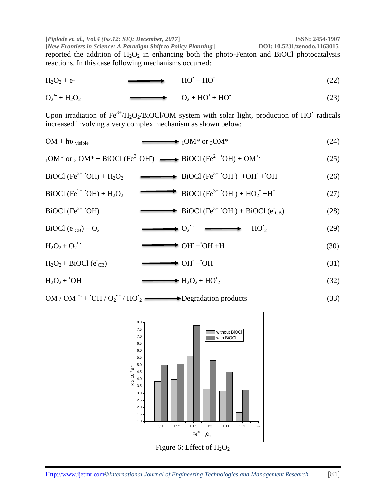*Piplode et. al., Vol.4 (Iss.12: SE): December, 2017***<br>
[***New Frontiers in Science: A Paradigm Shift to Policy Planning***] <b>ISSN: 10.5281/zenodo.1163015 [New Frontiers in Science: A Paradigm Shift to Policy Planning]** reported the addition of  $H_2O_2$  in enhancing both the photo-Fenton and BiOCl photocatalysis reactions. In this case following mechanisms occurred:

 $H_2O_2 + e$ - $HO'+ HO$ (22)

$$
O_2^{\bullet} + H_2O_2 \qquad O_2 + HO^{\bullet} + HO^{\bullet} \qquad (23)
$$

Upon irradiation of Fe<sup>3+</sup>/H<sub>2</sub>O<sub>2</sub>/BiOCl/OM system with solar light, production of HO<sup>•</sup> radicals increased involving a very complex mechanism as shown below:

$$
OM + hvvisible \longrightarrow {}_1OM^* \text{ or } {}_3OM^* \tag{24}
$$

$$
{}_{1}OM^* \text{ or } {}_{3}OM^* + \text{BiOCl (Fe}^{3+}OH) \longrightarrow \text{BiOCl (Fe}^{2+}^\bulletOH) + \text{OM}^{+} \tag{25}
$$

 $BiOCl (Fe<sup>2+</sup> OH) + H<sub>2</sub>O<sub>2</sub>$  BiOCl (Fe<sup>3+</sup>  $^{\circ}OH$ ) +OH + OH (26)

$$
\text{BiOCl (Fe}^{2+} \text{°OH}) + \text{H}_2\text{O}_2 \longrightarrow \text{BiOCl (Fe}^{3+} \text{°OH}) + \text{HO}_2 \text{°} + \text{H}^+ \tag{27}
$$

BiOCl (Fe<sup>2+</sup> 'OH)   
BiOCl (Fe<sup>3+</sup> 'OH) + BiOCl (e<sup>-</sup><sub>CB</sub>) 
$$
(28)
$$

 $\text{BiOCl} \left( \vec{\text{e}}_{\text{CB}} \right) + \text{O}_2 \longrightarrow \text{O}_2$  $\leftrightarrow$  O<sub>2</sub><sup> $\cdot$ </sup>  $\longrightarrow$  HO<sup>'</sup><sub>2</sub>  $(29)$ 

$$
H_2O_2 + O_2
$$
 
$$
\longrightarrow \text{OH} + \text{OH} + \text{H}^+ \tag{30}
$$

$$
H_2O_2 + BiOCl (eCB) \longrightarrow OH + OH
$$
 (31)

$$
H_2O_2 + {}^{.}OH \longrightarrow H_2O_2 + HO^{\prime}_2 \tag{32}
$$

$$
OM / OM
$$
<sup>+</sup> +  $'OH / O_2$ <sup>•</sup> /  $HO$ <sup>•</sup> =  $Degradation$  products (33)



Http://www.ijetmr.com©*International Journal of Engineering Technologies and Management Research* [81]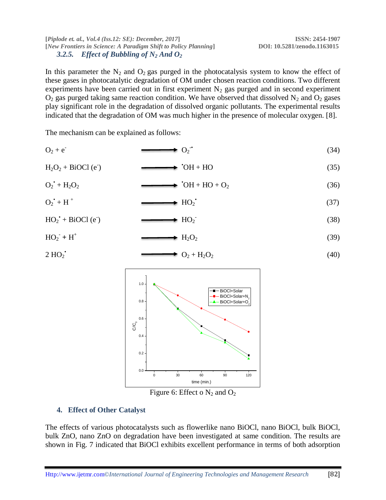#### **[***Piplode et. al., Vol.4 (Iss.12: SE): December, 2017***] ISSN: 2454-1907 [***New Frontiers in Science: A Paradigm Shift to Policy Planning***] DOI: 10.5281/zenodo.1163015** 3.2.5. *Effect of Bubbling of N<sub>2</sub> And*  $O_2$

In this parameter the  $N_2$  and  $O_2$  gas purged in the photocatalysis system to know the effect of these gases in photocatalytic degradation of OM under chosen reaction conditions. Two different experiments have been carried out in first experiment  $N_2$  gas purged and in second experiment  $O_2$  gas purged taking same reaction condition. We have observed that dissolved  $N_2$  and  $O_2$  gases play significant role in the degradation of dissolved organic pollutants. The experimental results indicated that the degradation of OM was much higher in the presence of molecular oxygen. [8].

The mechanism can be explained as follows:

$$
O_2 + e^- \longrightarrow O_2 \quad (34)
$$

$$
H_2O_2 + BiOCl (e) \longrightarrow {}^{*}OH + HO
$$
 (35)

$$
O_2^{\bullet} + H_2O_2 \qquad \longrightarrow \text{ } ^{\bullet}OH + HO + O_2 \qquad (36)
$$

$$
O_2^{\bullet} + H^+ \qquad \longrightarrow HO_2^{\bullet} \qquad (37)
$$

$$
HO_2^{\bullet} + \text{BiOCl} \text{ (e)} \longrightarrow \text{HO}_2^{\bullet} \tag{38}
$$

$$
HO_2 + H^+ \longrightarrow H_2O_2 \tag{39}
$$

$$
2 \, \text{HO}_2
$$

$$
O_2 + H_2O_2 \tag{40}
$$



Figure 6: Effect o  $N_2$  and  $O_2$ 

## **4. Effect of Other Catalyst**

The effects of various photocatalysts such as flowerlike nano BiOCl, nano BiOCl, bulk BiOCl, bulk ZnO, nano ZnO on degradation have been investigated at same condition. The results are shown in Fig. 7 indicated that BiOCl exhibits excellent performance in terms of both adsorption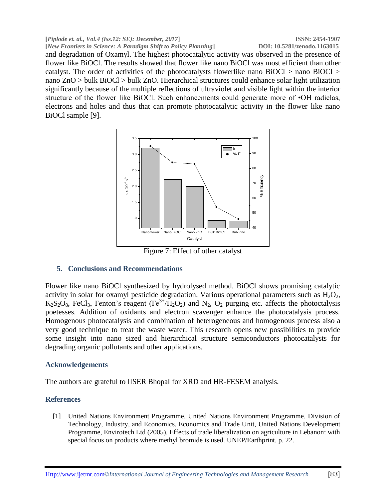#### **[***Piplode et. al., Vol.4 (Iss.12: SE): December, 2017***] ISSN: 2454-1907 [***New Frontiers in Science: A Paradigm Shift to Policy Planning***] DOI: 10.5281/zenodo.1163015** and degradation of Oxamyl. The highest photocatalytic activity was observed in the presence of flower like BiOCl. The results showed that flower like nano BiOCl was most efficient than other catalyst. The order of activities of the photocatalysts flowerlike nano BiOCl > nano BiOCl > nano ZnO > bulk BiOCl > bulk ZnO. Hierarchical structures could enhance solar light utilization significantly because of the multiple reflections of ultraviolet and visible light within the interior structure of the flower like BiOCl. Such enhancements could generate more of •OH radiclas, electrons and holes and thus that can promote photocatalytic activity in the flower like nano BiOCl sample [9].



Figure 7: Effect of other catalyst

## **5. Conclusions and Recommendations**

Flower like nano BiOCl synthesized by hydrolysed method. BiOCl shows promising catalytic activity in solar for oxamyl pesticide degradation. Various operational parameters such as  $H_2O_2$ ,  $K_2S_2O_8$ , FeCl<sub>3</sub>, Fenton's reagent (Fe<sup>3+</sup>/H<sub>2</sub>O<sub>2</sub>) and N<sub>2</sub>, O<sub>2</sub> purging etc. affects the photoctalysis poetesses. Addition of oxidants and electron scavenger enhance the photocatalysis process. Homogenous photocatalysis and combination of heterogeneous and homogenous process also a very good technique to treat the waste water. This research opens new possibilities to provide some insight into nano sized and hierarchical structure semiconductors photocatalysts for degrading organic pollutants and other applications.

## **Acknowledgements**

The authors are grateful to IISER Bhopal for XRD and HR-FESEM analysis.

### **References**

[1] United Nations Environment Programme, United Nations Environment Programme. Division of Technology, Industry, and Economics. Economics and Trade Unit, United Nations Development Programme, Envirotech Ltd (2005). Effects of trade liberalization on agriculture in Lebanon: with special focus on products where methyl bromide is used. UNEP/Earthprint. p. 22.